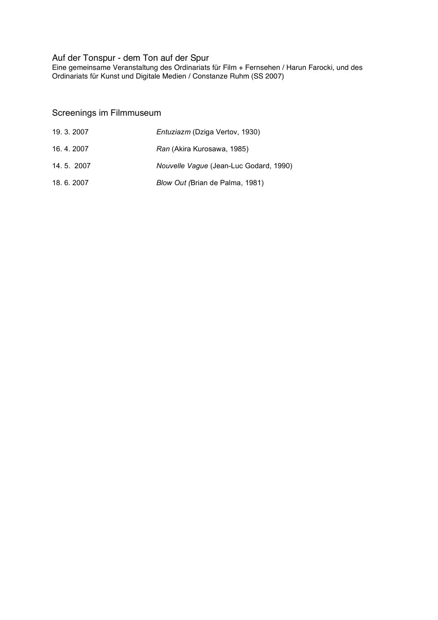# Auf der Tonspur - dem Ton auf der Spur

Eine gemeinsame Veranstaltung des Ordinariats für Film + Fernsehen / Harun Farocki, und des Ordinariats für Kunst und Digitale Medien / Constanze Ruhm (SS 2007)

# Screenings im Filmmuseum

| 19, 3, 2007 | <i>Entuziazm</i> (Dziga Vertov, 1930)  |
|-------------|----------------------------------------|
| 16.4.2007   | Ran (Akira Kurosawa, 1985)             |
| 14.5.2007   | Nouvelle Vague (Jean-Luc Godard, 1990) |
| 18.6.2007   | Blow Out (Brian de Palma, 1981)        |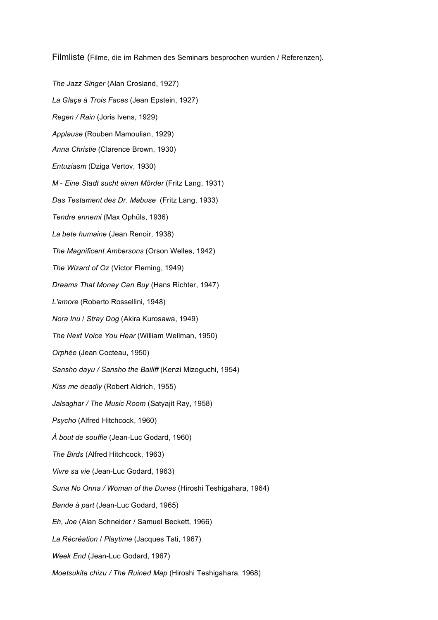Filmliste (Filme, die im Rahmen des Seminars besprochen wurden / Referenzen).

*The Jazz Singer* (Alan Crosland, 1927) *La Glaçe à Trois Faces* (Jean Epstein, 1927) *Regen / Rain* (Joris Ivens, 1929) *Applause* (Rouben Mamoulian, 1929) *Anna Christie* (Clarence Brown, 1930) *Entuziasm* (Dziga Vertov, 1930) *M - Eine Stadt sucht einen Mörder* (Fritz Lang, 1931) *Das Testament des Dr. Mabuse* (Fritz Lang, 1933) *Tendre ennemi* (Max Ophüls, 1936) *La bete humaine* (Jean Renoir, 1938) *The Magnificent Ambersons* (Orson Welles, 1942) *The Wizard of Oz* (Victor Fleming, 1949) *Dreams That Money Can Buy* (Hans Richter, 1947) *L'amore* (Roberto Rossellini, 1948) *Nora Inu* / *Stray Dog* (Akira Kurosawa, 1949) *The Next Voice You Hear* (William Wellman, 1950) *Orphée* (Jean Cocteau, 1950) *Sansho dayu / Sansho the Bailiff* (Kenzi Mizoguchi, 1954) *Kiss me deadly* (Robert Aldrich, 1955) *Jalsaghar / The Music Room* (Satyajit Ray, 1958) *Psycho* (Alfred Hitchcock, 1960) *À bout de souffle* (Jean-Luc Godard, 1960) *The Birds* (Alfred Hitchcock, 1963) *Vivre sa vie* (Jean-Luc Godard, 1963) *Suna No Onna / Woman of the Dunes* (Hiroshi Teshigahara, 1964) *Bande à part* (Jean-Luc Godard, 1965) *Eh, Joe* (Alan Schneider / Samuel Beckett, 1966) *La Récréation* / *Playtime* (Jacques Tati, 1967) *Week End* (Jean-Luc Godard, 1967) *Moetsukita chizu / The Ruined Map* (Hiroshi Teshigahara, 1968)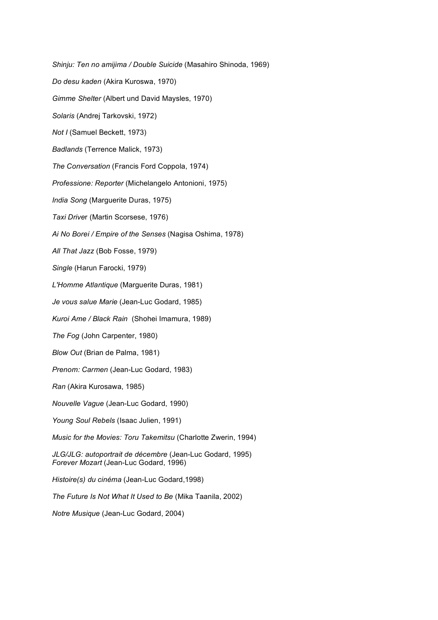*Shinju: Ten no amijima / Double Suicide* (Masahiro Shinoda, 1969)

*Do desu kaden* (Akira Kuroswa, 1970)

*Gimme Shelter* (Albert und David Maysles, 1970)

*Solaris* (Andrej Tarkovski, 1972)

*Not I* (Samuel Beckett, 1973)

*Badlands* (Terrence Malick, 1973)

*The Conversation* (Francis Ford Coppola, 1974)

*Professione: Reporter* (Michelangelo Antonioni, 1975)

*India Song* (Marguerite Duras, 1975)

*Taxi Drive*r (Martin Scorsese, 1976)

*Ai No Borei / Empire of the Senses* (Nagisa Oshima, 1978)

*All That Jazz* (Bob Fosse, 1979)

*Single* (Harun Farocki, 1979)

*L'Homme Atlantique* (Marguerite Duras, 1981)

*Je vous salue Marie* (Jean-Luc Godard, 1985)

*Kuroi Ame / Black Rain* (Shohei Imamura, 1989)

*The Fog* (John Carpenter, 1980)

*Blow Out* (Brian de Palma, 1981)

*Prenom: Carmen* (Jean-Luc Godard, 1983)

*Ran* (Akira Kurosawa, 1985)

*Nouvelle Vague* (Jean-Luc Godard, 1990)

*Young Soul Rebels* (Isaac Julien, 1991)

*Music for the Movies: Toru Takemitsu* (Charlotte Zwerin, 1994)

*JLG/JLG: autoportrait de décembre* (Jean-Luc Godard, 1995) *Forever Mozart* (Jean-Luc Godard, 1996)

*Histoire(s) du cinéma* (Jean-Luc Godard,1998)

*The Future Is Not What It Used to Be* (Mika Taanila, 2002)

*Notre Musique* (Jean-Luc Godard, 2004)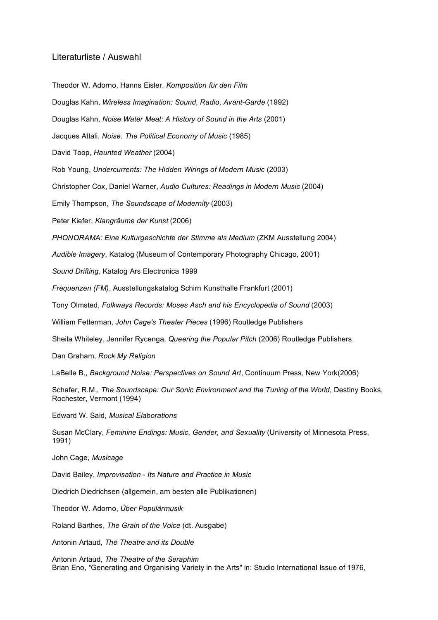### Literaturliste / Auswahl

Theodor W. Adorno, Hanns Eisler, *Komposition für den Film*

Douglas Kahn, *Wireless Imagination: Sound, Radio, Avant-Garde* (1992)

Douglas Kahn, *Noise Water Meat: A History of Sound in the Arts* (2001)

Jacques Attali, *Noise. The Political Economy of Music* (1985)

David Toop, *Haunted Weather* (2004)

Rob Young, *Undercurrents: The Hidden Wirings of Modern Music* (2003)

Christopher Cox, Daniel Warner, *Audio Cultures: Readings in Modern Music* (2004)

Emily Thompson, *The Soundscape of Modernity* (2003)

Peter Kiefer, *Klangräume der Kunst* (2006)

*PHONORAMA: Eine Kulturgeschichte der Stimme als Medium* (ZKM Ausstellung 2004)

*Audible Imagery,* Katalog (Museum of Contemporary Photography Chicago, 2001)

*Sound Drifting*, Katalog Ars Electronica 1999

*Frequenzen (FM)*, Ausstellungskatalog Schirn Kunsthalle Frankfurt (2001)

Tony Olmsted, *Folkways Records: Moses Asch and his Encyclopedia of Sound* (2003)

William Fetterman, *John Cage's Theater Pieces* (1996) Routledge Publishers

Sheila Whiteley, Jennifer Rycenga, *Queering the Popular Pitch* (2006) Routledge Publishers

Dan Graham, *Rock My Religion*

LaBelle B., *Background Noise: Perspectives on Sound Art*, Continuum Press, New York(2006)

Schafer, R.M., *The Soundscape: Our Sonic Environment and the Tuning of the World*, Destiny Books, Rochester, Vermont (1994)

Edward W. Said, *Musical Elaborations*

Susan McClary, *Feminine Endings: Music, Gender, and Sexuality* (University of Minnesota Press, 1991)

John Cage, *Musicage*

David Bailey, *Improvisation - Its Nature and Practice in Music*

Diedrich Diedrichsen (allgemein, am besten alle Publikationen)

Theodor W. Adorno, *Über Populärmusik*

Roland Barthes, *The Grain of the Voice* (dt. Ausgabe)

Antonin Artaud, *The Theatre and its Double*

Antonin Artaud, *The Theatre of the Seraphim* Brian Eno, *"*Generating and Organising Variety in the Arts" in: Studio International Issue of 1976,